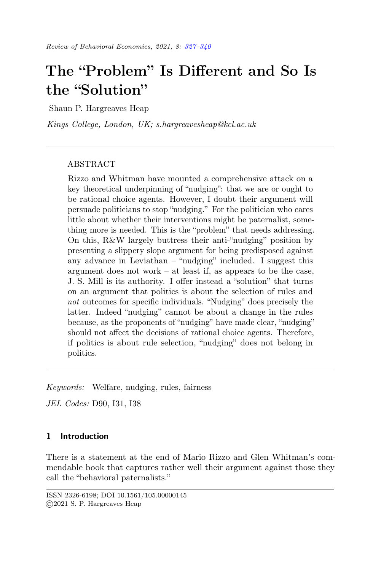# <span id="page-0-0"></span>The "Problem" Is Different and So Is the "Solution"

Shaun P. Hargreaves Heap

Kings College, London, UK; s.hargreavesheap@kcl.ac.uk

# ABSTRACT

Rizzo and Whitman have mounted a comprehensive attack on a key theoretical underpinning of "nudging": that we are or ought to be rational choice agents. However, I doubt their argument will persuade politicians to stop "nudging." For the politician who cares little about whether their interventions might be paternalist, something more is needed. This is the "problem" that needs addressing. On this, R&W largely buttress their anti-"nudging" position by presenting a slippery slope argument for being predisposed against any advance in Leviathan – "nudging" included. I suggest this argument does not work – at least if, as appears to be the case, J. S. Mill is its authority. I offer instead a "solution" that turns on an argument that politics is about the selection of rules and not outcomes for specific individuals. "Nudging" does precisely the latter. Indeed "nudging" cannot be about a change in the rules because, as the proponents of "nudging" have made clear, "nudging" should not affect the decisions of rational choice agents. Therefore, if politics is about rule selection, "nudging" does not belong in politics.

Keywords: Welfare, nudging, rules, fairness

JEL Codes: D90, I31, I38

# 1 Introduction

There is a statement at the end of Mario Rizzo and Glen Whitman's commendable book that captures rather well their argument against those they call the "behavioral paternalists."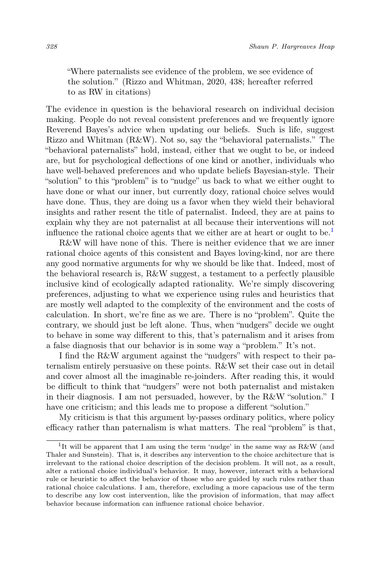"Where paternalists see evidence of the problem, we see evidence of the solution." (Rizzo and Whitman, 2020, 438; hereafter referred to as RW in citations)

The evidence in question is the behavioral research on individual decision making. People do not reveal consistent preferences and we frequently ignore Reverend Bayes's advice when updating our beliefs. Such is life, suggest Rizzo and Whitman (R&W). Not so, say the "behavioral paternalists." The "behavioral paternalists" hold, instead, either that we ought to be, or indeed are, but for psychological deflections of one kind or another, individuals who have well-behaved preferences and who update beliefs Bayesian-style. Their "solution" to this "problem" is to "nudge" us back to what we either ought to have done or what our inner, but currently dozy, rational choice selves would have done. Thus, they are doing us a favor when they wield their behavioral insights and rather resent the title of paternalist. Indeed, they are at pains to explain why they are not paternalist at all because their interventions will not influence the rational choice agents that we either are at heart or ought to be.<sup>[1](#page-1-0)</sup>

R&W will have none of this. There is neither evidence that we are inner rational choice agents of this consistent and Bayes loving-kind, nor are there any good normative arguments for why we should be like that. Indeed, most of the behavioral research is, R&W suggest, a testament to a perfectly plausible inclusive kind of ecologically adapted rationality. We're simply discovering preferences, adjusting to what we experience using rules and heuristics that are mostly well adapted to the complexity of the environment and the costs of calculation. In short, we're fine as we are. There is no "problem". Quite the contrary, we should just be left alone. Thus, when "nudgers" decide we ought to behave in some way different to this, that's paternalism and it arises from a false diagnosis that our behavior is in some way a "problem." It's not.

I find the R&W argument against the "nudgers" with respect to their paternalism entirely persuasive on these points. R&W set their case out in detail and cover almost all the imaginable re-joinders. After reading this, it would be difficult to think that "nudgers" were not both paternalist and mistaken in their diagnosis. I am not persuaded, however, by the R&W "solution." I have one criticism; and this leads me to propose a different "solution."

My criticism is that this argument by-passes ordinary politics, where policy efficacy rather than paternalism is what matters. The real "problem" is that,

<span id="page-1-0"></span><sup>&</sup>lt;sup>1</sup>It will be apparent that I am using the term 'nudge' in the same way as R&W (and Thaler and Sunstein). That is, it describes any intervention to the choice architecture that is irrelevant to the rational choice description of the decision problem. It will not, as a result, alter a rational choice individual's behavior. It may, however, interact with a behavioral rule or heuristic to affect the behavior of those who are guided by such rules rather than rational choice calculations. I am, therefore, excluding a more capacious use of the term to describe any low cost intervention, like the provision of information, that may affect behavior because information can influence rational choice behavior.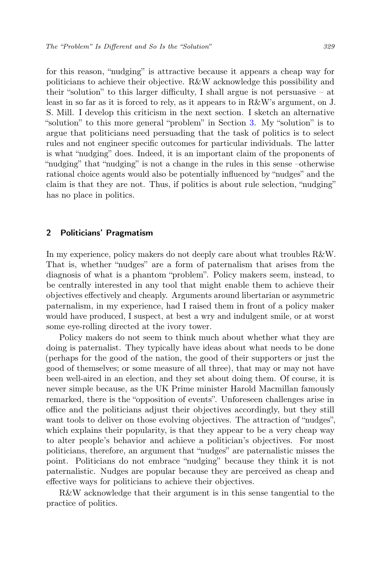for this reason, "nudging" is attractive because it appears a cheap way for politicians to achieve their objective. R&W acknowledge this possibility and their "solution" to this larger difficulty, I shall argue is not persuasive  $-$  at least in so far as it is forced to rely, as it appears to in R&W's argument, on J. S. Mill. I develop this criticism in the next section. I sketch an alternative "solution" to this more general "problem" in Section [3.](#page-6-0) My "solution" is to argue that politicians need persuading that the task of politics is to select rules and not engineer specific outcomes for particular individuals. The latter is what "nudging" does. Indeed, it is an important claim of the proponents of "nudging" that "nudging" is not a change in the rules in this sense –otherwise rational choice agents would also be potentially influenced by "nudges" and the claim is that they are not. Thus, if politics is about rule selection, "nudging" has no place in politics.

#### 2 Politicians' Pragmatism

In my experience, policy makers do not deeply care about what troubles R&W. That is, whether "nudges" are a form of paternalism that arises from the diagnosis of what is a phantom "problem". Policy makers seem, instead, to be centrally interested in any tool that might enable them to achieve their objectives effectively and cheaply. Arguments around libertarian or asymmetric paternalism, in my experience, had I raised them in front of a policy maker would have produced, I suspect, at best a wry and indulgent smile, or at worst some eye-rolling directed at the ivory tower.

Policy makers do not seem to think much about whether what they are doing is paternalist. They typically have ideas about what needs to be done (perhaps for the good of the nation, the good of their supporters or just the good of themselves; or some measure of all three), that may or may not have been well-aired in an election, and they set about doing them. Of course, it is never simple because, as the UK Prime minister Harold Macmillan famously remarked, there is the "opposition of events". Unforeseen challenges arise in office and the politicians adjust their objectives accordingly, but they still want tools to deliver on those evolving objectives. The attraction of "nudges", which explains their popularity, is that they appear to be a very cheap way to alter people's behavior and achieve a politician's objectives. For most politicians, therefore, an argument that "nudges" are paternalistic misses the point. Politicians do not embrace "nudging" because they think it is not paternalistic. Nudges are popular because they are perceived as cheap and effective ways for politicians to achieve their objectives.

R&W acknowledge that their argument is in this sense tangential to the practice of politics.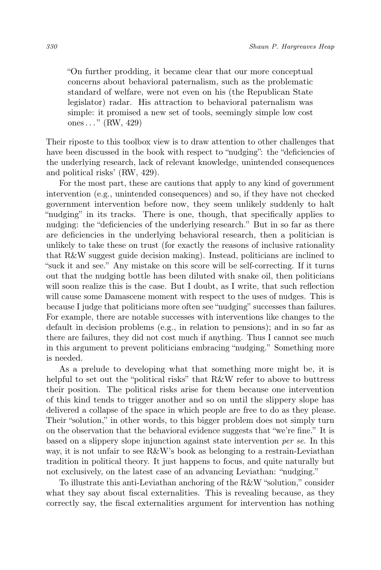"On further prodding, it became clear that our more conceptual concerns about behavioral paternalism, such as the problematic standard of welfare, were not even on his (the Republican State legislator) radar. His attraction to behavioral paternalism was simple: it promised a new set of tools, seemingly simple low cost ones. . . " (RW, 429)

Their riposte to this toolbox view is to draw attention to other challenges that have been discussed in the book with respect to "nudging": the "deficiencies of the underlying research, lack of relevant knowledge, unintended consequences and political risks' (RW, 429).

For the most part, these are cautions that apply to any kind of government intervention (e.g., unintended consequences) and so, if they have not checked government intervention before now, they seem unlikely suddenly to halt "nudging" in its tracks. There is one, though, that specifically applies to nudging: the "deficiencies of the underlying research." But in so far as there are deficiencies in the underlying behavioral research, then a politician is unlikely to take these on trust (for exactly the reasons of inclusive rationality that R&W suggest guide decision making). Instead, politicians are inclined to "suck it and see." Any mistake on this score will be self-correcting. If it turns out that the nudging bottle has been diluted with snake oil, then politicians will soon realize this is the case. But I doubt, as I write, that such reflection will cause some Damascene moment with respect to the uses of nudges. This is because I judge that politicians more often see "nudging" successes than failures. For example, there are notable successes with interventions like changes to the default in decision problems (e.g., in relation to pensions); and in so far as there are failures, they did not cost much if anything. Thus I cannot see much in this argument to prevent politicians embracing "nudging." Something more is needed.

As a prelude to developing what that something more might be, it is helpful to set out the "political risks" that R&W refer to above to buttress their position. The political risks arise for them because one intervention of this kind tends to trigger another and so on until the slippery slope has delivered a collapse of the space in which people are free to do as they please. Their "solution," in other words, to this bigger problem does not simply turn on the observation that the behavioral evidence suggests that "we're fine." It is based on a slippery slope injunction against state intervention per se. In this way, it is not unfair to see R&W's book as belonging to a restrain-Leviathan tradition in political theory. It just happens to focus, and quite naturally but not exclusively, on the latest case of an advancing Leviathan: "nudging."

To illustrate this anti-Leviathan anchoring of the R&W "solution," consider what they say about fiscal externalities. This is revealing because, as they correctly say, the fiscal externalities argument for intervention has nothing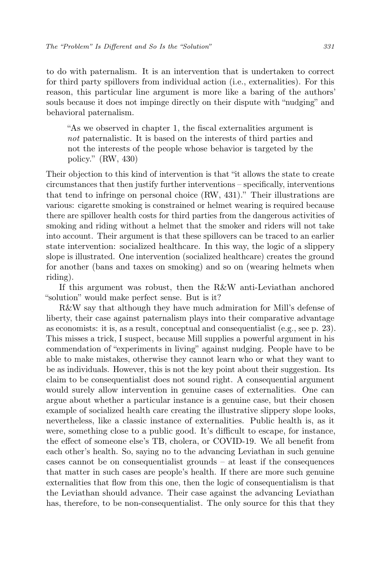to do with paternalism. It is an intervention that is undertaken to correct for third party spillovers from individual action (i.e., externalities). For this reason, this particular line argument is more like a baring of the authors' souls because it does not impinge directly on their dispute with "nudging" and behavioral paternalism.

"As we observed in chapter 1, the fiscal externalities argument is not paternalistic. It is based on the interests of third parties and not the interests of the people whose behavior is targeted by the policy." (RW, 430)

Their objection to this kind of intervention is that "it allows the state to create circumstances that then justify further interventions – specifically, interventions that tend to infringe on personal choice (RW, 431)." Their illustrations are various: cigarette smoking is constrained or helmet wearing is required because there are spillover health costs for third parties from the dangerous activities of smoking and riding without a helmet that the smoker and riders will not take into account. Their argument is that these spillovers can be traced to an earlier state intervention: socialized healthcare. In this way, the logic of a slippery slope is illustrated. One intervention (socialized healthcare) creates the ground for another (bans and taxes on smoking) and so on (wearing helmets when riding).

If this argument was robust, then the R&W anti-Leviathan anchored "solution" would make perfect sense. But is it?

R&W say that although they have much admiration for Mill's defense of liberty, their case against paternalism plays into their comparative advantage as economists: it is, as a result, conceptual and consequentialist (e.g., see p. 23). This misses a trick, I suspect, because Mill supplies a powerful argument in his commendation of "experiments in living" against nudging. People have to be able to make mistakes, otherwise they cannot learn who or what they want to be as individuals. However, this is not the key point about their suggestion. Its claim to be consequentialist does not sound right. A consequential argument would surely allow intervention in genuine cases of externalities. One can argue about whether a particular instance is a genuine case, but their chosen example of socialized health care creating the illustrative slippery slope looks, nevertheless, like a classic instance of externalities. Public health is, as it were, something close to a public good. It's difficult to escape, for instance, the effect of someone else's TB, cholera, or COVID-19. We all benefit from each other's health. So, saying no to the advancing Leviathan in such genuine cases cannot be on consequentialist grounds – at least if the consequences that matter in such cases are people's health. If there are more such genuine externalities that flow from this one, then the logic of consequentialism is that the Leviathan should advance. Their case against the advancing Leviathan has, therefore, to be non-consequentialist. The only source for this that they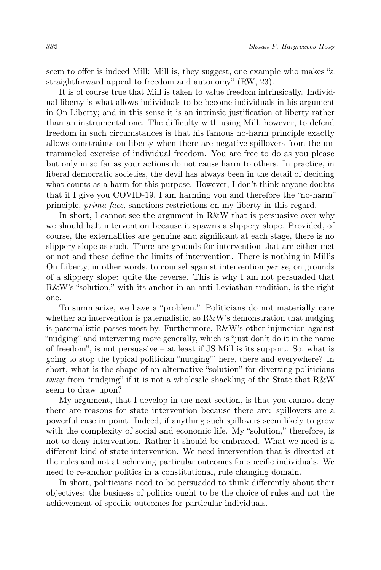seem to offer is indeed Mill: Mill is, they suggest, one example who makes "a straightforward appeal to freedom and autonomy" (RW, 23).

It is of course true that Mill is taken to value freedom intrinsically. Individual liberty is what allows individuals to be become individuals in his argument in On Liberty; and in this sense it is an intrinsic justification of liberty rather than an instrumental one. The difficulty with using Mill, however, to defend freedom in such circumstances is that his famous no-harm principle exactly allows constraints on liberty when there are negative spillovers from the untrammeled exercise of individual freedom. You are free to do as you please but only in so far as your actions do not cause harm to others. In practice, in liberal democratic societies, the devil has always been in the detail of deciding what counts as a harm for this purpose. However, I don't think anyone doubts that if I give you COVID-19, I am harming you and therefore the "no-harm" principle, prima face, sanctions restrictions on my liberty in this regard.

In short, I cannot see the argument in R&W that is persuasive over why we should halt intervention because it spawns a slippery slope. Provided, of course, the externalities are genuine and significant at each stage, there is no slippery slope as such. There are grounds for intervention that are either met or not and these define the limits of intervention. There is nothing in Mill's On Liberty, in other words, to counsel against intervention per se, on grounds of a slippery slope: quite the reverse. This is why I am not persuaded that R&W's "solution," with its anchor in an anti-Leviathan tradition, is the right one.

To summarize, we have a "problem." Politicians do not materially care whether an intervention is paternalistic, so R&W's demonstration that nudging is paternalistic passes most by. Furthermore, R&W's other injunction against "nudging" and intervening more generally, which is "just don't do it in the name of freedom", is not persuasive – at least if JS Mill is its support. So, what is going to stop the typical politician "nudging"' here, there and everywhere? In short, what is the shape of an alternative "solution" for diverting politicians away from "nudging" if it is not a wholesale shackling of the State that R&W seem to draw upon?

My argument, that I develop in the next section, is that you cannot deny there are reasons for state intervention because there are: spillovers are a powerful case in point. Indeed, if anything such spillovers seem likely to grow with the complexity of social and economic life. My "solution," therefore, is not to deny intervention. Rather it should be embraced. What we need is a different kind of state intervention. We need intervention that is directed at the rules and not at achieving particular outcomes for specific individuals. We need to re-anchor politics in a constitutional, rule changing domain.

In short, politicians need to be persuaded to think differently about their objectives: the business of politics ought to be the choice of rules and not the achievement of specific outcomes for particular individuals.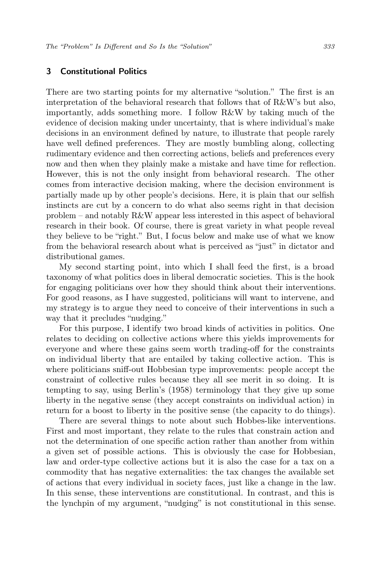## <span id="page-6-0"></span>3 Constitutional Politics

There are two starting points for my alternative "solution." The first is an interpretation of the behavioral research that follows that of R&W's but also, importantly, adds something more. I follow R&W by taking much of the evidence of decision making under uncertainty, that is where individual's make decisions in an environment defined by nature, to illustrate that people rarely have well defined preferences. They are mostly bumbling along, collecting rudimentary evidence and then correcting actions, beliefs and preferences every now and then when they plainly make a mistake and have time for reflection. However, this is not the only insight from behavioral research. The other comes from interactive decision making, where the decision environment is partially made up by other people's decisions. Here, it is plain that our selfish instincts are cut by a concern to do what also seems right in that decision problem – and notably R&W appear less interested in this aspect of behavioral research in their book. Of course, there is great variety in what people reveal they believe to be "right." But, I focus below and make use of what we know from the behavioral research about what is perceived as "just" in dictator and distributional games.

My second starting point, into which I shall feed the first, is a broad taxonomy of what politics does in liberal democratic societies. This is the hook for engaging politicians over how they should think about their interventions. For good reasons, as I have suggested, politicians will want to intervene, and my strategy is to argue they need to conceive of their interventions in such a way that it precludes "nudging."

For this purpose, I identify two broad kinds of activities in politics. One relates to deciding on collective actions where this yields improvements for everyone and where these gains seem worth trading-off for the constraints on individual liberty that are entailed by taking collective action. This is where politicians sniff-out Hobbesian type improvements: people accept the constraint of collective rules because they all see merit in so doing. It is tempting to say, using Berlin's (1958) terminology that they give up some liberty in the negative sense (they accept constraints on individual action) in return for a boost to liberty in the positive sense (the capacity to do things).

There are several things to note about such Hobbes-like interventions. First and most important, they relate to the rules that constrain action and not the determination of one specific action rather than another from within a given set of possible actions. This is obviously the case for Hobbesian, law and order-type collective actions but it is also the case for a tax on a commodity that has negative externalities: the tax changes the available set of actions that every individual in society faces, just like a change in the law. In this sense, these interventions are constitutional. In contrast, and this is the lynchpin of my argument, "nudging" is not constitutional in this sense.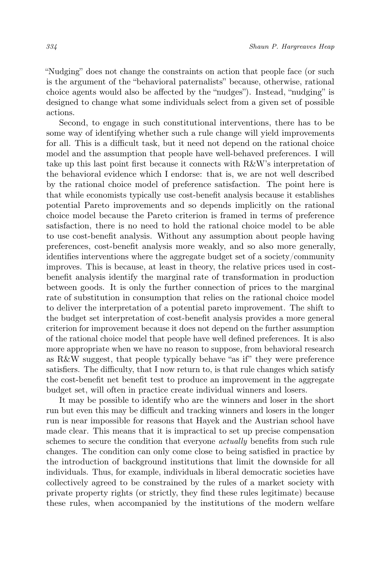"Nudging" does not change the constraints on action that people face (or such is the argument of the "behavioral paternalists" because, otherwise, rational choice agents would also be affected by the "nudges"). Instead, "nudging" is designed to change what some individuals select from a given set of possible actions.

Second, to engage in such constitutional interventions, there has to be some way of identifying whether such a rule change will yield improvements for all. This is a difficult task, but it need not depend on the rational choice model and the assumption that people have well-behaved preferences. I will take up this last point first because it connects with R&W's interpretation of the behavioral evidence which I endorse: that is, we are not well described by the rational choice model of preference satisfaction. The point here is that while economists typically use cost-benefit analysis because it establishes potential Pareto improvements and so depends implicitly on the rational choice model because the Pareto criterion is framed in terms of preference satisfaction, there is no need to hold the rational choice model to be able to use cost-benefit analysis. Without any assumption about people having preferences, cost-benefit analysis more weakly, and so also more generally, identifies interventions where the aggregate budget set of a society/community improves. This is because, at least in theory, the relative prices used in costbenefit analysis identify the marginal rate of transformation in production between goods. It is only the further connection of prices to the marginal rate of substitution in consumption that relies on the rational choice model to deliver the interpretation of a potential pareto improvement. The shift to the budget set interpretation of cost-benefit analysis provides a more general criterion for improvement because it does not depend on the further assumption of the rational choice model that people have well defined preferences. It is also more appropriate when we have no reason to suppose, from behavioral research as R&W suggest, that people typically behave "as if" they were preference satisfiers. The difficulty, that I now return to, is that rule changes which satisfy the cost-benefit net benefit test to produce an improvement in the aggregate budget set, will often in practice create individual winners and losers.

It may be possible to identify who are the winners and loser in the short run but even this may be difficult and tracking winners and losers in the longer run is near impossible for reasons that Hayek and the Austrian school have made clear. This means that it is impractical to set up precise compensation schemes to secure the condition that everyone *actually* benefits from such rule changes. The condition can only come close to being satisfied in practice by the introduction of background institutions that limit the downside for all individuals. Thus, for example, individuals in liberal democratic societies have collectively agreed to be constrained by the rules of a market society with private property rights (or strictly, they find these rules legitimate) because these rules, when accompanied by the institutions of the modern welfare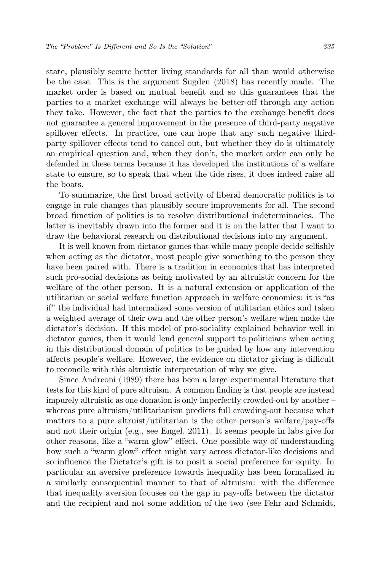state, plausibly secure better living standards for all than would otherwise be the case. This is the argument Sugden (2018) has recently made. The market order is based on mutual benefit and so this guarantees that the parties to a market exchange will always be better-off through any action they take. However, the fact that the parties to the exchange benefit does not guarantee a general improvement in the presence of third-party negative spillover effects. In practice, one can hope that any such negative thirdparty spillover effects tend to cancel out, but whether they do is ultimately an empirical question and, when they don't, the market order can only be defended in these terms because it has developed the institutions of a welfare state to ensure, so to speak that when the tide rises, it does indeed raise all the boats.

To summarize, the first broad activity of liberal democratic politics is to engage in rule changes that plausibly secure improvements for all. The second broad function of politics is to resolve distributional indeterminacies. The latter is inevitably drawn into the former and it is on the latter that I want to draw the behavioral research on distributional decisions into my argument.

It is well known from dictator games that while many people decide selfishly when acting as the dictator, most people give something to the person they have been paired with. There is a tradition in economics that has interpreted such pro-social decisions as being motivated by an altruistic concern for the welfare of the other person. It is a natural extension or application of the utilitarian or social welfare function approach in welfare economics: it is "as if" the individual had internalized some version of utilitarian ethics and taken a weighted average of their own and the other person's welfare when make the dictator's decision. If this model of pro-sociality explained behavior well in dictator games, then it would lend general support to politicians when acting in this distributional domain of politics to be guided by how any intervention affects people's welfare. However, the evidence on dictator giving is difficult to reconcile with this altruistic interpretation of why we give.

Since Andreoni (1989) there has been a large experimental literature that tests for this kind of pure altruism. A common finding is that people are instead impurely altruistic as one donation is only imperfectly crowded-out by another – whereas pure altruism/utilitarianism predicts full crowding-out because what matters to a pure altruist/utilitarian is the other person's welfare/pay-offs and not their origin (e.g., see Engel, 2011). It seems people in labs give for other reasons, like a "warm glow" effect. One possible way of understanding how such a "warm glow" effect might vary across dictator-like decisions and so influence the Dictator's gift is to posit a social preference for equity. In particular an aversive preference towards inequality has been formalized in a similarly consequential manner to that of altruism: with the difference that inequality aversion focuses on the gap in pay-offs between the dictator and the recipient and not some addition of the two (see Fehr and Schmidt,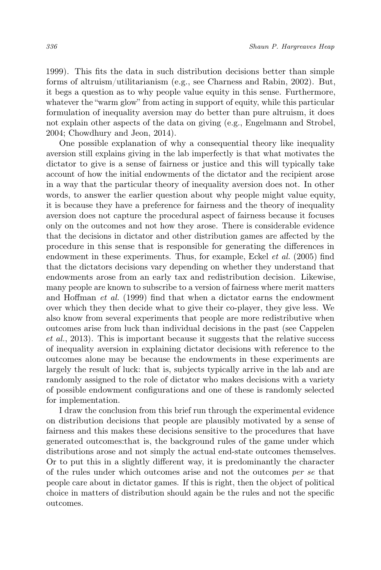1999). This fits the data in such distribution decisions better than simple forms of altruism/utilitarianism (e.g., see Charness and Rabin, 2002). But, it begs a question as to why people value equity in this sense. Furthermore, whatever the "warm glow" from acting in support of equity, while this particular formulation of inequality aversion may do better than pure altruism, it does not explain other aspects of the data on giving (e.g., Engelmann and Strobel, 2004; Chowdhury and Jeon, 2014).

One possible explanation of why a consequential theory like inequality aversion still explains giving in the lab imperfectly is that what motivates the dictator to give is a sense of fairness or justice and this will typically take account of how the initial endowments of the dictator and the recipient arose in a way that the particular theory of inequality aversion does not. In other words, to answer the earlier question about why people might value equity, it is because they have a preference for fairness and the theory of inequality aversion does not capture the procedural aspect of fairness because it focuses only on the outcomes and not how they arose. There is considerable evidence that the decisions in dictator and other distribution games are affected by the procedure in this sense that is responsible for generating the differences in endowment in these experiments. Thus, for example, Eckel et al. (2005) find that the dictators decisions vary depending on whether they understand that endowments arose from an early tax and redistribution decision. Likewise, many people are known to subscribe to a version of fairness where merit matters and Hoffman et al. (1999) find that when a dictator earns the endowment over which they then decide what to give their co-player, they give less. We also know from several experiments that people are more redistributive when outcomes arise from luck than individual decisions in the past (see Cappelen et al., 2013). This is important because it suggests that the relative success of inequality aversion in explaining dictator decisions with reference to the outcomes alone may be because the endowments in these experiments are largely the result of luck: that is, subjects typically arrive in the lab and are randomly assigned to the role of dictator who makes decisions with a variety of possible endowment configurations and one of these is randomly selected for implementation.

I draw the conclusion from this brief run through the experimental evidence on distribution decisions that people are plausibly motivated by a sense of fairness and this makes these decisions sensitive to the procedures that have generated outcomes:that is, the background rules of the game under which distributions arose and not simply the actual end-state outcomes themselves. Or to put this in a slightly different way, it is predominantly the character of the rules under which outcomes arise and not the outcomes per se that people care about in dictator games. If this is right, then the object of political choice in matters of distribution should again be the rules and not the specific outcomes.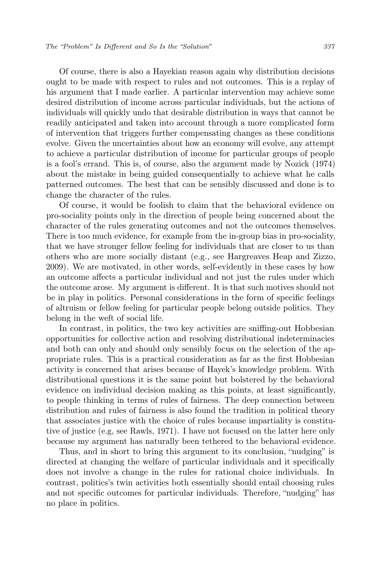Of course, there is also a Hayekian reason again why distribution decisions ought to be made with respect to rules and not outcomes. This is a replay of his argument that I made earlier. A particular intervention may achieve some desired distribution of income across particular individuals, but the actions of individuals will quickly undo that desirable distribution in ways that cannot be readily anticipated and taken into account through a more complicated form of intervention that triggers further compensating changes as these conditions evolve. Given the uncertainties about how an economy will evolve, any attempt to achieve a particular distribution of income for particular groups of people is a fool's errand. This is, of course, also the argument made by Nozick (1974) about the mistake in being guided consequentially to achieve what he calls patterned outcomes. The best that can be sensibly discussed and done is to change the character of the rules.

Of course, it would be foolish to claim that the behavioral evidence on pro-sociality points only in the direction of people being concerned about the character of the rules generating outcomes and not the outcomes themselves. There is too much evidence, for example from the in-group bias in pro-sociality, that we have stronger fellow feeling for individuals that are closer to us than others who are more socially distant (e.g., see Hargreaves Heap and Zizzo, 2009). We are motivated, in other words, self-evidently in these cases by how an outcome affects a particular individual and not just the rules under which the outcome arose. My argument is different. It is that such motives should not be in play in politics. Personal considerations in the form of specific feelings of altruism or fellow feeling for particular people belong outside politics. They belong in the weft of social life.

In contrast, in politics, the two key activities are sniffing-out Hobbesian opportunities for collective action and resolving distributional indeterminacies and both can only and should only sensibly focus on the selection of the appropriate rules. This is a practical consideration as far as the first Hobbesian activity is concerned that arises because of Hayek's knowledge problem. With distributional questions it is the same point but bolstered by the behavioral evidence on individual decision making as this points, at least significantly, to people thinking in terms of rules of fairness. The deep connection between distribution and rules of fairness is also found the tradition in political theory that associates justice with the choice of rules because impartiality is constitutive of justice (e.g, see Rawls, 1971). I have not focused on the latter here only because my argument has naturally been tethered to the behavioral evidence.

Thus, and in short to bring this argument to its conclusion, "nudging" is directed at changing the welfare of particular individuals and it specifically does not involve a change in the rules for rational choice individuals. In contrast, politics's twin activities both essentially should entail choosing rules and not specific outcomes for particular individuals. Therefore, "nudging" has no place in politics.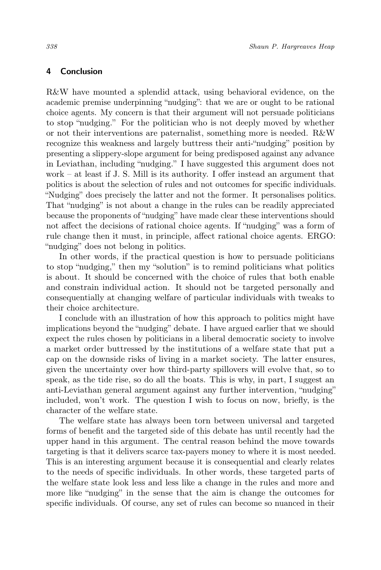## 4 Conclusion

R&W have mounted a splendid attack, using behavioral evidence, on the academic premise underpinning "nudging": that we are or ought to be rational choice agents. My concern is that their argument will not persuade politicians to stop "nudging." For the politician who is not deeply moved by whether or not their interventions are paternalist, something more is needed. R&W recognize this weakness and largely buttress their anti-"nudging" position by presenting a slippery-slope argument for being predisposed against any advance in Leviathan, including "nudging." I have suggested this argument does not work – at least if J. S. Mill is its authority. I offer instead an argument that politics is about the selection of rules and not outcomes for specific individuals. "Nudging" does precisely the latter and not the former. It personalises politics. That "nudging" is not about a change in the rules can be readily appreciated because the proponents of "nudging" have made clear these interventions should not affect the decisions of rational choice agents. If "nudging" was a form of rule change then it must, in principle, affect rational choice agents. ERGO: "nudging" does not belong in politics.

In other words, if the practical question is how to persuade politicians to stop "nudging," then my "solution" is to remind politicians what politics is about. It should be concerned with the choice of rules that both enable and constrain individual action. It should not be targeted personally and consequentially at changing welfare of particular individuals with tweaks to their choice architecture.

I conclude with an illustration of how this approach to politics might have implications beyond the "nudging" debate. I have argued earlier that we should expect the rules chosen by politicians in a liberal democratic society to involve a market order buttressed by the institutions of a welfare state that put a cap on the downside risks of living in a market society. The latter ensures, given the uncertainty over how third-party spillovers will evolve that, so to speak, as the tide rise, so do all the boats. This is why, in part, I suggest an anti-Leviathan general argument against any further intervention, "nudging" included, won't work. The question I wish to focus on now, briefly, is the character of the welfare state.

The welfare state has always been torn between universal and targeted forms of benefit and the targeted side of this debate has until recently had the upper hand in this argument. The central reason behind the move towards targeting is that it delivers scarce tax-payers money to where it is most needed. This is an interesting argument because it is consequential and clearly relates to the needs of specific individuals. In other words, these targeted parts of the welfare state look less and less like a change in the rules and more and more like "nudging" in the sense that the aim is change the outcomes for specific individuals. Of course, any set of rules can become so nuanced in their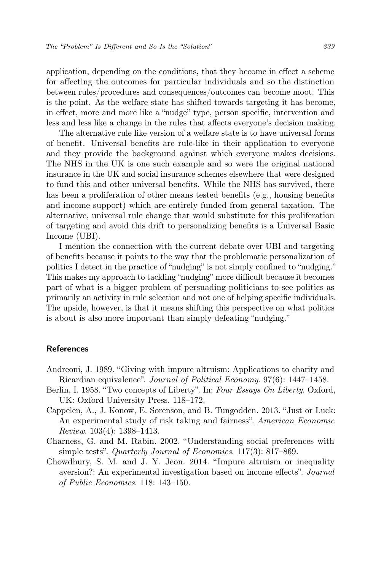application, depending on the conditions, that they become in effect a scheme for affecting the outcomes for particular individuals and so the distinction between rules/procedures and consequences/outcomes can become moot. This is the point. As the welfare state has shifted towards targeting it has become, in effect, more and more like a "nudge" type, person specific, intervention and less and less like a change in the rules that affects everyone's decision making.

The alternative rule like version of a welfare state is to have universal forms of benefit. Universal benefits are rule-like in their application to everyone and they provide the background against which everyone makes decisions. The NHS in the UK is one such example and so were the original national insurance in the UK and social insurance schemes elsewhere that were designed to fund this and other universal benefits. While the NHS has survived, there has been a proliferation of other means tested benefits (e.g., housing benefits and income support) which are entirely funded from general taxation. The alternative, universal rule change that would substitute for this proliferation of targeting and avoid this drift to personalizing benefits is a Universal Basic Income (UBI).

I mention the connection with the current debate over UBI and targeting of benefits because it points to the way that the problematic personalization of politics I detect in the practice of "nudging" is not simply confined to "nudging." This makes my approach to tackling "nudging" more difficult because it becomes part of what is a bigger problem of persuading politicians to see politics as primarily an activity in rule selection and not one of helping specific individuals. The upside, however, is that it means shifting this perspective on what politics is about is also more important than simply defeating "nudging."

#### References

- Andreoni, J. 1989. "Giving with impure altruism: Applications to charity and Ricardian equivalence". Journal of Political Economy. 97(6): 1447–1458.
- Berlin, I. 1958. "Two concepts of Liberty". In: Four Essays On Liberty. Oxford, UK: Oxford University Press. 118–172.
- Cappelen, A., J. Konow, E. Sorenson, and B. Tungodden. 2013. "Just or Luck: An experimental study of risk taking and fairness". American Economic Review. 103(4): 1398–1413.
- Charness, G. and M. Rabin. 2002. "Understanding social preferences with simple tests". Quarterly Journal of Economics. 117(3): 817–869.
- Chowdhury, S. M. and J. Y. Jeon. 2014. "Impure altruism or inequality aversion?: An experimental investigation based on income effects". Journal of Public Economics. 118: 143–150.